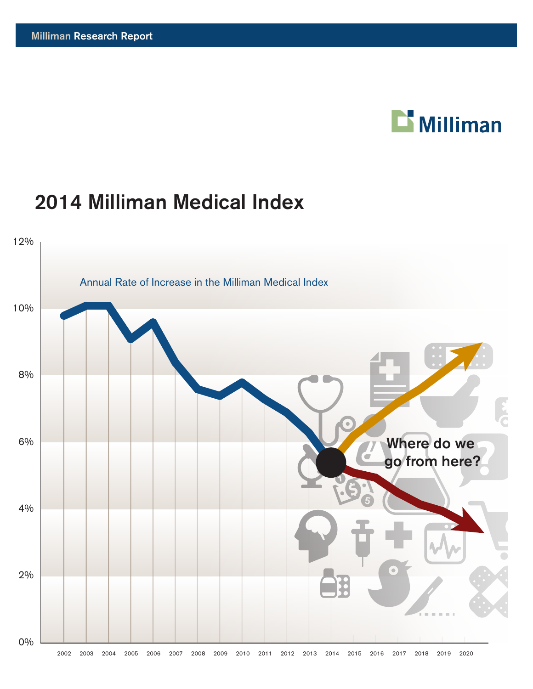# **Nilliman**

## 2014 Milliman Medical Index

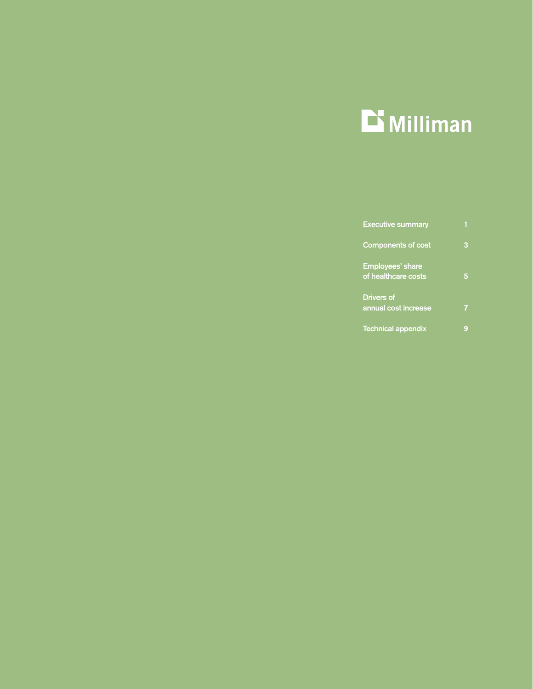

| <b>Executive summary</b>                       |  |
|------------------------------------------------|--|
| <b>Components of cost</b>                      |  |
| <b>Employees' share</b><br>of healthcare costs |  |
| <b>Drivers of</b><br>annual cost increase      |  |
| <b>Technical appendix</b>                      |  |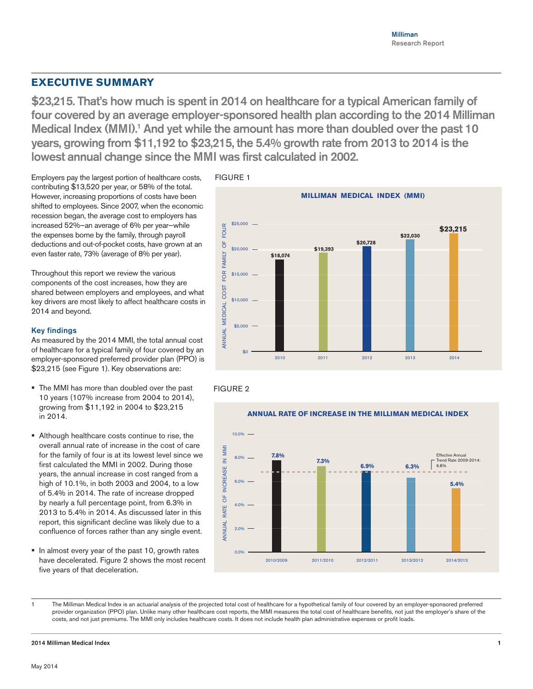## **EXECUTIVE SUMMARY**

\$23,215. That's how much is spent in 2014 on healthcare for a typical American family of four covered by an average employer-sponsored health plan according to the 2014 Milliman Medical Index (MMI).<sup>1</sup> And yet while the amount has more than doubled over the past 10 years, growing from \$11,192 to \$23,215, the 5.4% growth rate from 2013 to 2014 is the lowest annual change since the MMI was first calculated in 2002.

Employers pay the largest portion of healthcare costs, contributing \$13,520 per year, or 58% of the total. However, increasing proportions of costs have been shifted to employees. Since 2007, when the economic recession began, the average cost to employers has increased 52%—an average of 6% per year—while the expenses borne by the family, through payroll deductions and out-of-pocket costs, have grown at an even faster rate, 73% (average of 8% per year).

Throughout this report we review the various components of the cost increases, how they are shared between employers and employees, and what key drivers are most likely to affect healthcare costs in 2014 and beyond.

## Key findings

As measured by the 2014 MMI, the total annual cost of healthcare for a typical family of four covered by an employer-sponsored preferred provider plan (PPO) is \$23,215 (see Figure 1). Key observations are:

- The MMI has more than doubled over the past 10 years (107% increase from 2004 to 2014), growing from \$11,192 in 2004 to \$23,215 in 2014.
- Although healthcare costs continue to rise, the overall annual rate of increase in the cost of care for the family of four is at its lowest level since we first calculated the MMI in 2002. During those years, the annual increase in cost ranged from a high of 10.1%, in both 2003 and 2004, to a low of 5.4% in 2014. The rate of increase dropped by nearly a full percentage point, from 6.3% in 2013 to 5.4% in 2014. As discussed later in this report, this significant decline was likely due to a confluence of forces rather than any single event.
- In almost every year of the past 10, growth rates have decelerated. Figure 2 shows the most recent five years of that deceleration.



FIGURE 2





The Milliman Medical Index is an actuarial analysis of the projected total cost of healthcare for a hypothetical family of four covered by an employer-sponsored preferred provider organization (PPO) plan. Unlike many other healthcare cost reports, the MMI measures the total cost of healthcare benefits, not just the employer's share of the costs, and not just premiums. The MMI only includes healthcare costs. It does not include health plan administrative expenses or profit loads.

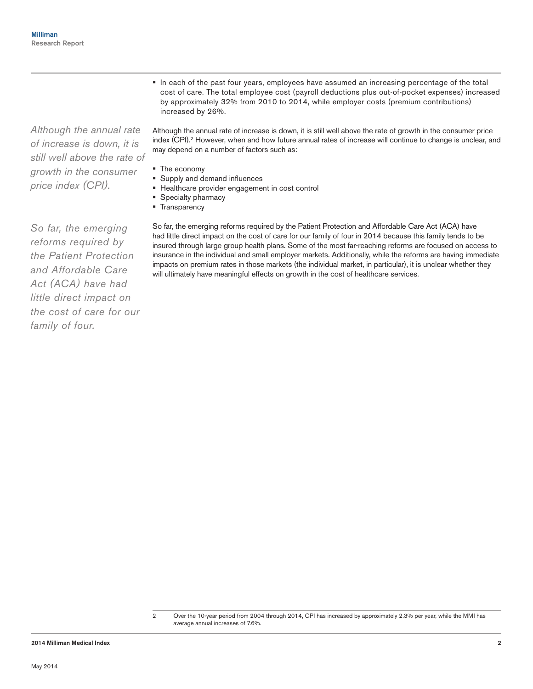*Although the annual rate of increase is down, it is still well above the rate of growth in the consumer price index (CPI).*

In each of the past four years, employees have assumed an increasing percentage of the total cost of care. The total employee cost (payroll deductions plus out-of-pocket expenses) increased by approximately 32% from 2010 to 2014, while employer costs (premium contributions) increased by 26%.

Although the annual rate of increase is down, it is still well above the rate of growth in the consumer price index (CPI).<sup>2</sup> However, when and how future annual rates of increase will continue to change is unclear, and may depend on a number of factors such as:

- The economy
- Supply and demand influences
- Healthcare provider engagement in cost control
- Specialty pharmacy
- **Transparency**

So far, the emerging reforms required by the Patient Protection and Affordable Care Act (ACA) have had little direct impact on the cost of care for our family of four in 2014 because this family tends to be insured through large group health plans. Some of the most far-reaching reforms are focused on access to insurance in the individual and small employer markets. Additionally, while the reforms are having immediate impacts on premium rates in those markets (the individual market, in particular), it is unclear whether they will ultimately have meaningful effects on growth in the cost of healthcare services.

*So far, the emerging reforms required by the Patient Protection and Affordable Care Act (ACA) have had little direct impact on the cost of care for our family of four.*

<sup>2</sup> Over the 10-year period from 2004 through 2014, CPI has increased by approximately 2.3% per year, while the MMI has average annual increases of 7.6%.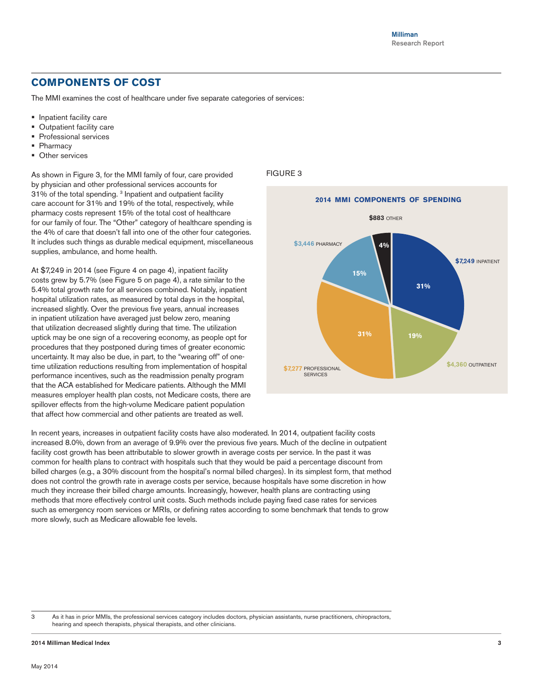## **COMPONENTS OF COST**

The MMI examines the cost of healthcare under five separate categories of services:

- **Inpatient facility care**
- **Dutpatient facility care**
- **Professional services**
- **Pharmacy**
- **Other services**

As shown in Figure 3, for the MMI family of four, care provided by physician and other professional services accounts for 31% of the total spending. 3 Inpatient and outpatient facility care account for 31% and 19% of the total, respectively, while pharmacy costs represent 15% of the total cost of healthcare for our family of four. The "Other" category of healthcare spending is the 4% of care that doesn't fall into one of the other four categories. It includes such things as durable medical equipment, miscellaneous supplies, ambulance, and home health.

At \$7,249 in 2014 (see Figure 4 on page 4), inpatient facility costs grew by 5.7% (see Figure 5 on page 4), a rate similar to the 5.4% total growth rate for all services combined. Notably, inpatient hospital utilization rates, as measured by total days in the hospital, increased slightly. Over the previous five years, annual increases in inpatient utilization have averaged just below zero, meaning that utilization decreased slightly during that time. The utilization uptick may be one sign of a recovering economy, as people opt for procedures that they postponed during times of greater economic uncertainty. It may also be due, in part, to the "wearing off" of onetime utilization reductions resulting from implementation of hospital performance incentives, such as the readmission penalty program that the ACA established for Medicare patients. Although the MMI measures employer health plan costs, not Medicare costs, there are spillover effects from the high-volume Medicare patient population that affect how commercial and other patients are treated as well.

## FIGURE 3



In recent years, increases in outpatient facility costs have also moderated. In 2014, outpatient facility costs increased 8.0%, down from an average of 9.9% over the previous five years. Much of the decline in outpatient facility cost growth has been attributable to slower growth in average costs per service. In the past it was common for health plans to contract with hospitals such that they would be paid a percentage discount from billed charges (e.g., a 30% discount from the hospital's normal billed charges). In its simplest form, that method does not control the growth rate in average costs per service, because hospitals have some discretion in how much they increase their billed charge amounts. Increasingly, however, health plans are contracting using methods that more effectively control unit costs. Such methods include paying fixed case rates for services such as emergency room services or MRIs, or defining rates according to some benchmark that tends to grow more slowly, such as Medicare allowable fee levels.

<sup>3</sup> As it has in prior MMIs, the professional services category includes doctors, physician assistants, nurse practitioners, chiropractors, hearing and speech therapists, physical therapists, and other clinicians.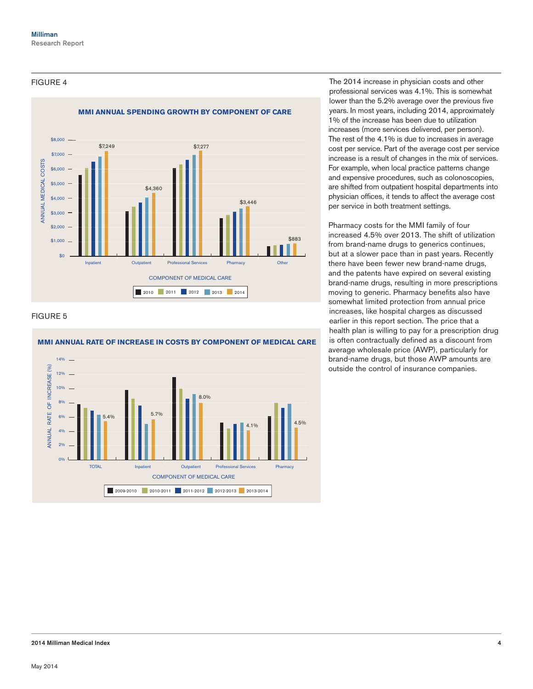## FIGURE 4



## FIGURE 5



## **MMI ANNUAL RATE OF INCREASE IN COSTS BY COMPONENT OF MEDICAL CARE**

The 2014 increase in physician costs and other professional services was 4.1%. This is somewhat lower than the 5.2% average over the previous five years. In most years, including 2014, approximately 1% of the increase has been due to utilization increases (more services delivered, per person). The rest of the 4.1% is due to increases in average cost per service. Part of the average cost per service increase is a result of changes in the mix of services. For example, when local practice patterns change and expensive procedures, such as colonoscopies, are shifted from outpatient hospital departments into physician offices, it tends to affect the average cost per service in both treatment settings.

Pharmacy costs for the MMI family of four increased 4.5% over 2013. The shift of utilization from brand-name drugs to generics continues, but at a slower pace than in past years. Recently there have been fewer new brand-name drugs, and the patents have expired on several existing brand-name drugs, resulting in more prescriptions moving to generic. Pharmacy benefits also have somewhat limited protection from annual price increases, like hospital charges as discussed earlier in this report section. The price that a health plan is willing to pay for a prescription drug is often contractually defined as a discount from average wholesale price (AWP), particularly for brand-name drugs, but those AWP amounts are outside the control of insurance companies.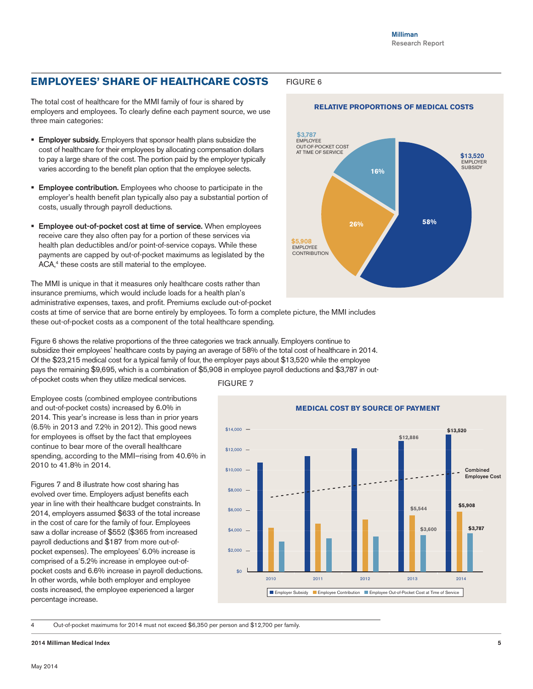## **EMPLOYEES' SHARE OF HEALTHCARE COSTS**

The total cost of healthcare for the MMI family of four is shared by employers and employees. To clearly define each payment source, we use three main categories:

- **Employer subsidy.** Employers that sponsor health plans subsidize the cost of healthcare for their employees by allocating compensation dollars to pay a large share of the cost. The portion paid by the employer typically varies according to the benefit plan option that the employee selects.
- **Employee contribution.** Employees who choose to participate in the employer's health benefit plan typically also pay a substantial portion of costs, usually through payroll deductions.
- **Employee out-of-pocket cost at time of service.** When employees receive care they also often pay for a portion of these services via health plan deductibles and/or point-of-service copays. While these payments are capped by out-of-pocket maximums as legislated by the ACA,<sup>4</sup> these costs are still material to the employee.

The MMI is unique in that it measures only healthcare costs rather than insurance premiums, which would include loads for a health plan's administrative expenses, taxes, and profit. Premiums exclude out-of-pocket costs at time of service that are borne entirely by employees. To form a complete picture, the MMI includes

these out-of-pocket costs as a component of the total healthcare spending.

Figure 6 shows the relative proportions of the three categories we track annually. Employers continue to subsidize their employees' healthcare costs by paying an average of 58% of the total cost of healthcare in 2014. Of the \$23,215 medical cost for a typical family of four, the employer pays about \$13,520 while the employee pays the remaining \$9,695, which is a combination of \$5,908 in employee payroll deductions and \$3,787 in out-

of-pocket costs when they utilize medical services.

Employee costs (combined employee contributions and out-of-pocket costs) increased by 6.0% in 2014. This year's increase is less than in prior years (6.5% in 2013 and 7.2% in 2012). This good news for employees is offset by the fact that employees continue to bear more of the overall healthcare spending, according to the MMI—rising from 40.6% in 2010 to 41.8% in 2014.

Figures 7 and 8 illustrate how cost sharing has evolved over time. Employers adjust benefits each year in line with their healthcare budget constraints. In 2014, employers assumed \$633 of the total increase in the cost of care for the family of four. Employees saw a dollar increase of \$552 (\$365 from increased payroll deductions and \$187 from more out-ofpocket expenses). The employees' 6.0% increase is comprised of a 5.2% increase in employee out-ofpocket costs and 6.6% increase in payroll deductions. In other words, while both employer and employee costs increased, the employee experienced a larger percentage increase.





4 Out-of-pocket maximums for 2014 must not exceed \$6,350 per person and \$12,700 per family.

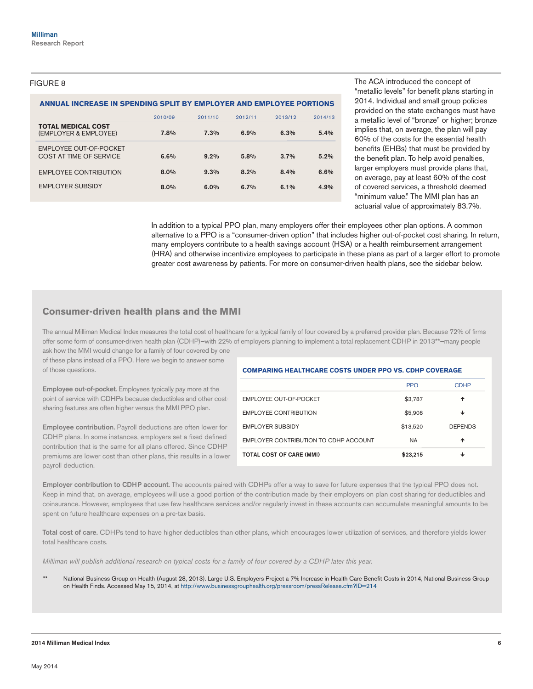## FIGURE 8

### **ANNUAL INCREASE IN SPENDING SPLIT BY EMPLOYER AND EMPLOYEE PORTIONS**

|                                                    | 2010/09 | 2011/10 | 2012/11 | 2013/12 | 2014/13 |
|----------------------------------------------------|---------|---------|---------|---------|---------|
| <b>TOTAL MEDICAL COST</b><br>(EMPLOYER & EMPLOYEE) | 7.8%    | 7.3%    | 6.9%    | 6.3%    | 5.4%    |
| EMPLOYEE OUT-OF-POCKET<br>COST AT TIME OF SERVICE  | 6.6%    | $9.2\%$ | 5.8%    | $3.7\%$ | $5.2\%$ |
| <b>EMPLOYEE CONTRIBUTION</b>                       | 8.0%    | 9.3%    | 8.2%    | 8.4%    | 6.6%    |
| <b>EMPLOYER SUBSIDY</b>                            | 8.0%    | 6.0%    | 6.7%    | 6.1%    | 4.9%    |

The ACA introduced the concept of "metallic levels" for benefit plans starting in 2014. Individual and small group policies provided on the state exchanges must have a metallic level of "bronze" or higher; bronze implies that, on average, the plan will pay 60% of the costs for the essential health benefits (EHBs) that must be provided by the benefit plan. To help avoid penalties, larger employers must provide plans that, on average, pay at least 60% of the cost of covered services, a threshold deemed "minimum value." The MMI plan has an actuarial value of approximately 83.7%.

In addition to a typical PPO plan, many employers offer their employees other plan options. A common alternative to a PPO is a "consumer-driven option" that includes higher out-of-pocket cost sharing. In return, many employers contribute to a health savings account (HSA) or a health reimbursement arrangement (HRA) and otherwise incentivize employees to participate in these plans as part of a larger effort to promote greater cost awareness by patients. For more on consumer-driven health plans, see the sidebar below.

## **Consumer-driven health plans and the MMI**

The annual Milliman Medical Index measures the total cost of healthcare for a typical family of four covered by a preferred provider plan. Because 72% of firms offer some form of consumer-driven health plan (CDHP)—with 22% of employers planning to implement a total replacement CDHP in 2013\*\*—many people ask how the MMI would change for a family of four covered by one

of these plans instead of a PPO. Here we begin to answer some of those questions.

Employee out-of-pocket. Employees typically pay more at the point of service with CDHPs because deductibles and other costsharing features are often higher versus the MMI PPO plan.

Employee contribution. Payroll deductions are often lower for CDHP plans. In some instances, employers set a fixed defined contribution that is the same for all plans offered. Since CDHP premiums are lower cost than other plans, this results in a lower payroll deduction.

## **COMPARING HEALTHCARE COSTS UNDER PPO VS. CDHP COVERAGE**

|                                       | <b>PPO</b> | <b>CDHP</b>    |
|---------------------------------------|------------|----------------|
| <b>EMPLOYEE OUT-OF-POCKET</b>         | \$3,787    | ✦              |
| <b>EMPLOYEE CONTRIBUTION</b>          | \$5,908    | ↓              |
| <b>EMPLOYER SUBSIDY</b>               | \$13,520   | <b>DEPENDS</b> |
| EMPLOYER CONTRIBUTION TO CDHP ACCOUNT | <b>NA</b>  | ✦              |
| <b>TOTAL COST OF CARE (MMI)</b>       | \$23,215   |                |

Employer contribution to CDHP account. The accounts paired with CDHPs offer a way to save for future expenses that the typical PPO does not. Keep in mind that, on average, employees will use a good portion of the contribution made by their employers on plan cost sharing for deductibles and coinsurance. However, employees that use few healthcare services and/or regularly invest in these accounts can accumulate meaningful amounts to be spent on future healthcare expenses on a pre-tax basis.

Total cost of care. CDHPs tend to have higher deductibles than other plans, which encourages lower utilization of services, and therefore yields lower total healthcare costs.

*Milliman will publish additional research on typical costs for a family of four covered by a CDHP later this year.* 

National Business Group on Health (August 28, 2013). Large U.S. Employers Project a 7% Increase in Health Care Benefit Costs in 2014, National Business Group on Health Finds. Accessed May 15, 2014, at <http://www.businessgrouphealth.org/pressroom/pressRelease.cfm?ID=214>

#### 2014 Milliman Medical Index 6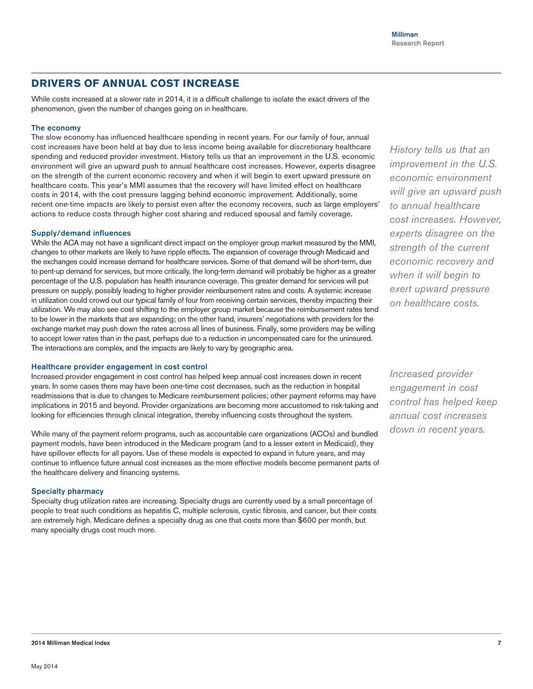## **DRIVERS OF ANNUAL COST INCREASE**

While costs increased at a slower rate in 2014, it is a difficult challenge to isolate the exact drivers of the phenomenon, given the number of changes going on in healthcare.

## The economy

The slow economy has influenced healthcare spending in recent years. For our family of four, annual cost increases have been held at bay due to less income being available for discretionary healthcare spending and reduced provider investment. History tells us that an improvement in the U.S. economic environment will give an upward push to annual healthcare cost increases. However, experts disagree on the strength of the current economic recovery and when it will begin to exert upward pressure on healthcare costs. This year's MMI assumes that the recovery will have limited effect on healthcare costs in 2014, with the cost pressure lagging behind economic improvement. Additionally, some recent one-time impacts are likely to persist even after the economy recovers, such as large employers' actions to reduce costs through higher cost sharing and reduced spousal and family coverage.

## Supply/demand influences

While the ACA may not have a significant direct impact on the employer group market measured by the MMI, changes to other markets are likely to have ripple effects. The expansion of coverage through Medicaid and the exchanges could increase demand for healthcare services. Some of that demand will be short-term, due to pent-up demand for services, but more critically, the long-term demand will probably be higher as a greater percentage of the U.S. population has health insurance coverage. This greater demand for services will put pressure on supply, possibly leading to higher provider reimbursement rates and costs. A systemic increase in utilization could crowd out our typical family of four from receiving certain services, thereby impacting their utilization. We may also see cost shifting to the employer group market because the reimbursement rates tend to be lower in the markets that are expanding; on the other hand, insurers' negotiations with providers for the exchange market may push down the rates across all lines of business. Finally, some providers may be willing to accept lower rates than in the past, perhaps due to a reduction in uncompensated care for the uninsured. The interactions are complex, and the impacts are likely to vary by geographic area.

### Healthcare provider engagement in cost control

Increased provider engagement in cost control has helped keep annual cost increases down in recent years. In some cases there may have been one-time cost decreases, such as the reduction in hospital readmissions that is due to changes to Medicare reimbursement policies; other payment reforms may have implications in 2015 and beyond. Provider organizations are becoming more accustomed to risk-taking and looking for efficiencies through clinical integration, thereby influencing costs throughout the system.

While many of the payment reform programs, such as accountable care organizations (ACOs) and bundled payment models, have been introduced in the Medicare program (and to a lesser extent in Medicaid), they have spillover effects for all payors. Use of these models is expected to expand in future years, and may continue to influence future annual cost increases as the more effective models become permanent parts of the healthcare delivery and financing systems.

#### Specialty pharmacy

Specialty drug utilization rates are increasing. Specialty drugs are currently used by a small percentage of people to treat such conditions as hepatitis C, multiple sclerosis, cystic fibrosis, and cancer, but their costs are extremely high. Medicare defines a specialty drug as one that costs more than \$600 per month, but many specialty drugs cost much more.

*History tells us that an improvement in the U.S. economic environment will give an upward push to annual healthcare cost increases. However, experts disagree on the strength of the current economic recovery and when it will begin to exert upward pressure on healthcare costs.*

*Increased provider engagement in cost control has helped keep annual cost increases down in recent years.*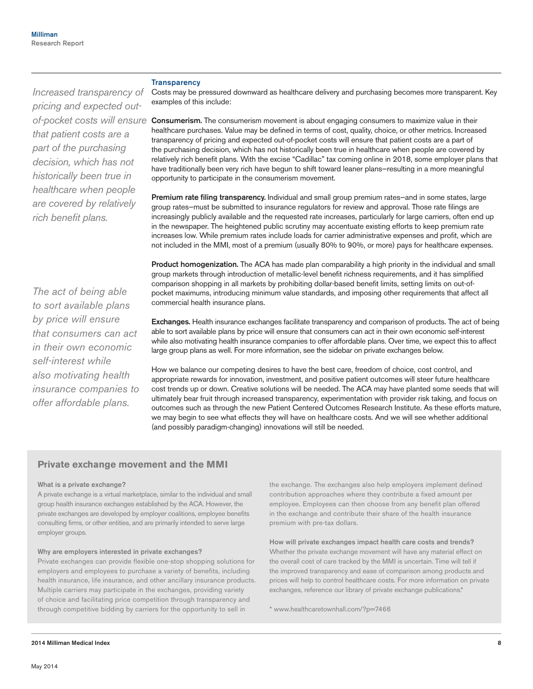### **Transparency**

*Increased transparency of pricing and expected outthat patient costs are a part of the purchasing decision, which has not historically been true in healthcare when people are covered by relatively rich benefit plans.*

*The act of being able to sort available plans by price will ensure that consumers can act in their own economic self-interest while also motivating health insurance companies to offer affordable plans.*

Costs may be pressured downward as healthcare delivery and purchasing becomes more transparent. Key examples of this include:

of-pocket costs will ensure **Consumerism.** The consumerism movement is about engaging consumers to maximize value in their healthcare purchases. Value may be defined in terms of cost, quality, choice, or other metrics. Increased transparency of pricing and expected out-of-pocket costs will ensure that patient costs are a part of the purchasing decision, which has not historically been true in healthcare when people are covered by relatively rich benefit plans. With the excise "Cadillac" tax coming online in 2018, some employer plans that have traditionally been very rich have begun to shift toward leaner plans—resulting in a more meaningful opportunity to participate in the consumerism movement.

> Premium rate filing transparency. Individual and small group premium rates-and in some states, large group rates—must be submitted to insurance regulators for review and approval. Those rate filings are increasingly publicly available and the requested rate increases, particularly for large carriers, often end up in the newspaper. The heightened public scrutiny may accentuate existing efforts to keep premium rate increases low. While premium rates include loads for carrier administrative expenses and profit, which are not included in the MMI, most of a premium (usually 80% to 90%, or more) pays for healthcare expenses.

> Product homogenization. The ACA has made plan comparability a high priority in the individual and small group markets through introduction of metallic-level benefit richness requirements, and it has simplified comparison shopping in all markets by prohibiting dollar-based benefit limits, setting limits on out-ofpocket maximums, introducing minimum value standards, and imposing other requirements that affect all commercial health insurance plans.

Exchanges. Health insurance exchanges facilitate transparency and comparison of products. The act of being able to sort available plans by price will ensure that consumers can act in their own economic self-interest while also motivating health insurance companies to offer affordable plans. Over time, we expect this to affect large group plans as well. For more information, see the sidebar on private exchanges below.

How we balance our competing desires to have the best care, freedom of choice, cost control, and appropriate rewards for innovation, investment, and positive patient outcomes will steer future healthcare cost trends up or down. Creative solutions will be needed. The ACA may have planted some seeds that will ultimately bear fruit through increased transparency, experimentation with provider risk taking, and focus on outcomes such as through the new Patient Centered Outcomes Research Institute. As these efforts mature, we may begin to see what effects they will have on healthcare costs. And we will see whether additional (and possibly paradigm-changing) innovations will still be needed.

## **Private exchange movement and the MMI**

#### What is a private exchange?

A private exchange is a virtual marketplace, similar to the individual and small group health insurance exchanges established by the ACA. However, the private exchanges are developed by employer coalitions, employee benefits consulting firms, or other entities, and are primarily intended to serve large employer groups.

#### Why are employers interested in private exchanges?

Private exchanges can provide flexible one-stop shopping solutions for employers and employees to purchase a variety of benefits, including health insurance, life insurance, and other ancillary insurance products. Multiple carriers may participate in the exchanges, providing variety of choice and facilitating price competition through transparency and through competitive bidding by carriers for the opportunity to sell in

the exchange. The exchanges also help employers implement defined contribution approaches where they contribute a fixed amount per employee. Employees can then choose from any benefit plan offered in the exchange and contribute their share of the health insurance premium with pre-tax dollars.

How will private exchanges impact health care costs and trends? Whether the private exchange movement will have any material effect on the overall cost of care tracked by the MMI is uncertain. Time will tell if the improved transparency and ease of comparison among products and prices will help to control healthcare costs. For more information on private exchanges, reference our library of private exchange publications.\*

\* www.healthcaretownhall.com/?p=7466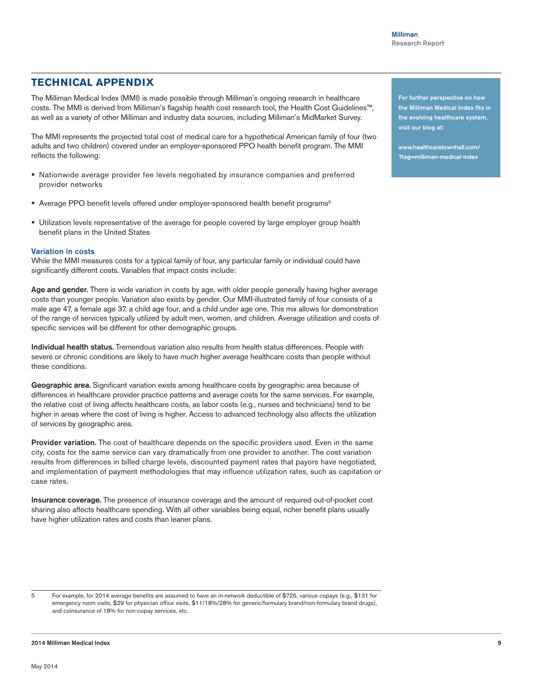## **TECHNICAL APPENDIX**

The Milliman Medical Index (MMI) is made possible through Milliman's ongoing research in healthcare costs. The MMI is derived from Milliman's flagship health cost research tool, the Health Cost Guidelines™, as well as a variety of other Milliman and industry data sources, including Milliman's MidMarket Survey.

The MMI represents the projected total cost of medical care for a hypothetical American family of four (two adults and two children) covered under an employer-sponsored PPO health benefit program. The MMI reflects the following:

- Nationwide average provider fee levels negotiated by insurance companies and preferred provider networks
- **Average PPO benefit levels offered under employer-sponsored health benefit programs**<sup>5</sup>
- Utilization levels representative of the average for people covered by large employer group health benefit plans in the United States

## Variation in costs

While the MMI measures costs for a typical family of four, any particular family or individual could have significantly different costs. Variables that impact costs include:

Age and gender. There is wide variation in costs by age, with older people generally having higher average costs than younger people. Variation also exists by gender. Our MMI-illustrated family of four consists of a male age 47, a female age 37, a child age four, and a child under age one. This mix allows for demonstration of the range of services typically utilized by adult men, women, and children. Average utilization and costs of specific services will be different for other demographic groups.

Individual health status. Tremendous variation also results from health status differences. People with severe or chronic conditions are likely to have much higher average healthcare costs than people without these conditions.

Geographic area. Significant variation exists among healthcare costs by geographic area because of differences in healthcare provider practice patterns and average costs for the same services. For example, the relative cost of living affects healthcare costs, as labor costs (e.g., nurses and technicians) tend to be higher in areas where the cost of living is higher. Access to advanced technology also affects the utilization of services by geographic area.

Provider variation. The cost of healthcare depends on the specific providers used. Even in the same city, costs for the same service can vary dramatically from one provider to another. The cost variation results from differences in billed charge levels, discounted payment rates that payors have negotiated, and implementation of payment methodologies that may influence utilization rates, such as capitation or case rates.

Insurance coverage. The presence of insurance coverage and the amount of required out-of-pocket cost sharing also affects healthcare spending. With all other variables being equal, richer benefit plans usually have higher utilization rates and costs than leaner plans.

5 For example, for 2014 average benefits are assumed to have an in-network deductible of \$725, various copays (e.g., \$131 for emergency room visits, \$29 for physician office visits, \$11/18%/28% for generic/formulary brand/non-formulary brand drugs), and coinsurance of 18% for non-copay services, etc.

#### 2014 Milliman Medical Index

For further perspective on how the Milliman Medical Index fits in the evolving healthcare system, visit our blog at:

www.[healthcaretownhall.com/](http://www.healthcaretownhall.com/?tag=milliman-medical-index) [?tag=milliman-medical-index](http://www.healthcaretownhall.com/?tag=milliman-medical-index)